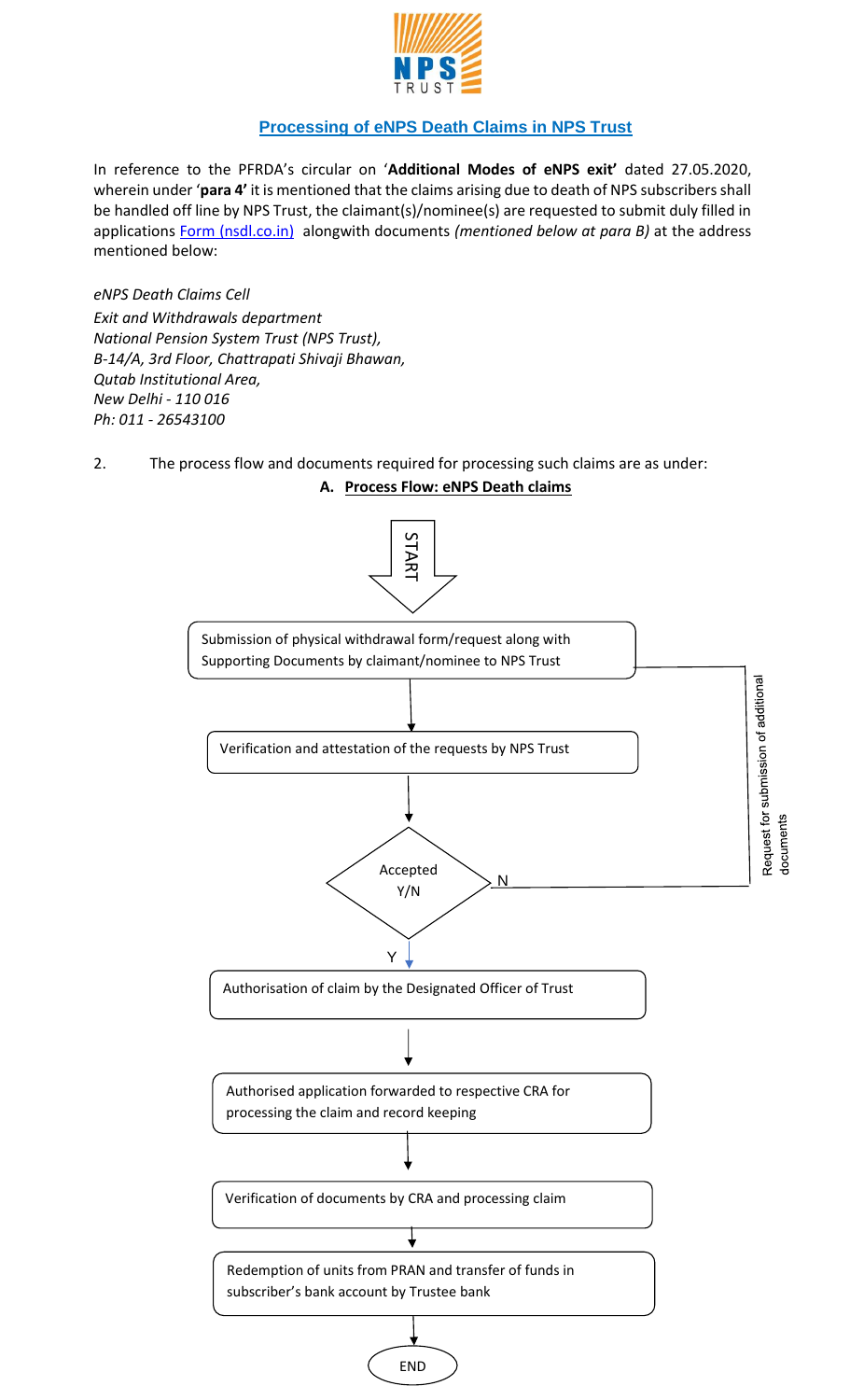

## **Processing of eNPS Death Claims in NPS Trust**

In reference to the PFRDA's circular on '**Additional Modes of eNPS exit'** dated 27.05.2020, wherein under '**para 4'** it is mentioned that the claims arising due to death of NPS subscribers shall be handled off line by NPS Trust, the claimant(s)/nominee(s) are requested to submit duly filled in applications [Form \(nsdl.co.in\)](https://npscra.nsdl.co.in/non-goverment-form.php) alongwith documents *(mentioned below at para B)* at the address mentioned below:

*eNPS Death Claims Cell Exit and Withdrawals department National Pension System Trust (NPS Trust), B-14/A, 3rd Floor, Chattrapati Shivaji Bhawan, Qutab Institutional Area, New Delhi - 110 016 Ph: 011 - 26543100* 

2. The process flow and documents required for processing such claims are as under:

## **A. Process Flow: eNPS Death claims**